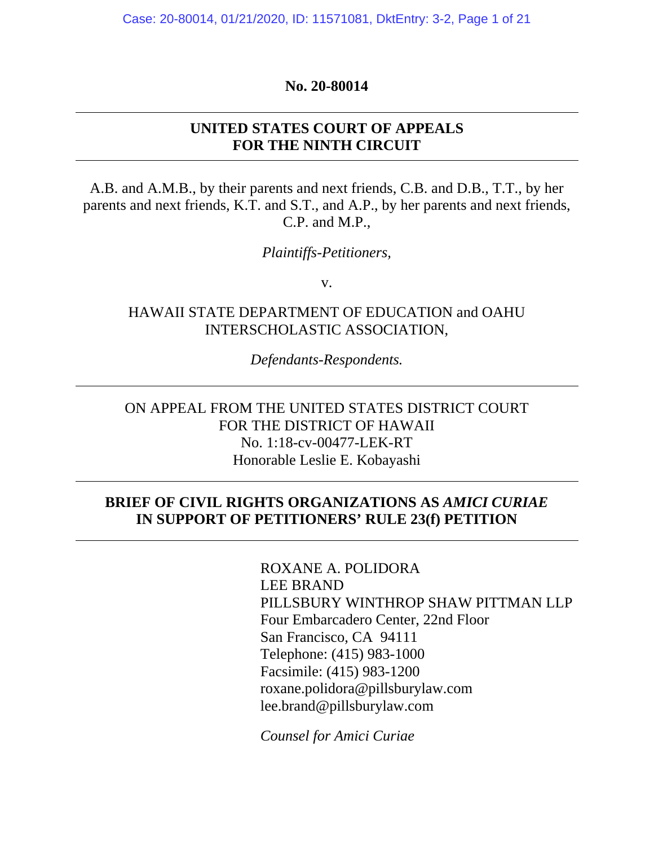#### **No. 20-80014**

## **UNITED STATES COURT OF APPEALS FOR THE NINTH CIRCUIT**

A.B. and A.M.B., by their parents and next friends, C.B. and D.B., T.T., by her parents and next friends, K.T. and S.T., and A.P., by her parents and next friends, C.P. and M.P.,

*Plaintiffs-Petitioners,*

v.

## HAWAII STATE DEPARTMENT OF EDUCATION and OAHU INTERSCHOLASTIC ASSOCIATION,

*Defendants-Respondents.* 

ON APPEAL FROM THE UNITED STATES DISTRICT COURT FOR THE DISTRICT OF HAWAII No. 1:18-cv-00477-LEK-RT Honorable Leslie E. Kobayashi

### **BRIEF OF CIVIL RIGHTS ORGANIZATIONS AS** *AMICI CURIAE* **IN SUPPORT OF PETITIONERS' RULE 23(f) PETITION**

 ROXANE A. POLIDORA LEE BRAND PILLSBURY WINTHROP SHAW PITTMAN LLP Four Embarcadero Center, 22nd Floor San Francisco, CA 94111 Telephone: (415) 983-1000 Facsimile: (415) 983-1200 roxane.polidora@pillsburylaw.com lee.brand@pillsburylaw.com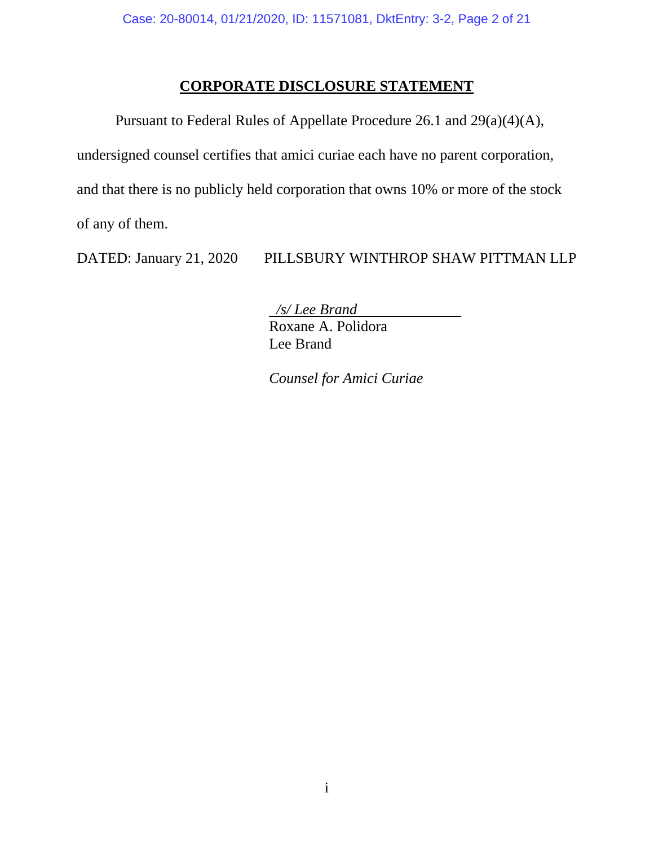# **CORPORATE DISCLOSURE STATEMENT**

 Pursuant to Federal Rules of Appellate Procedure 26.1 and 29(a)(4)(A), undersigned counsel certifies that amici curiae each have no parent corporation, and that there is no publicly held corporation that owns 10% or more of the stock of any of them.

DATED: January 21, 2020 PILLSBURY WINTHROP SHAW PITTMAN LLP

 */s/ Lee Brand*

Roxane A. Polidora Lee Brand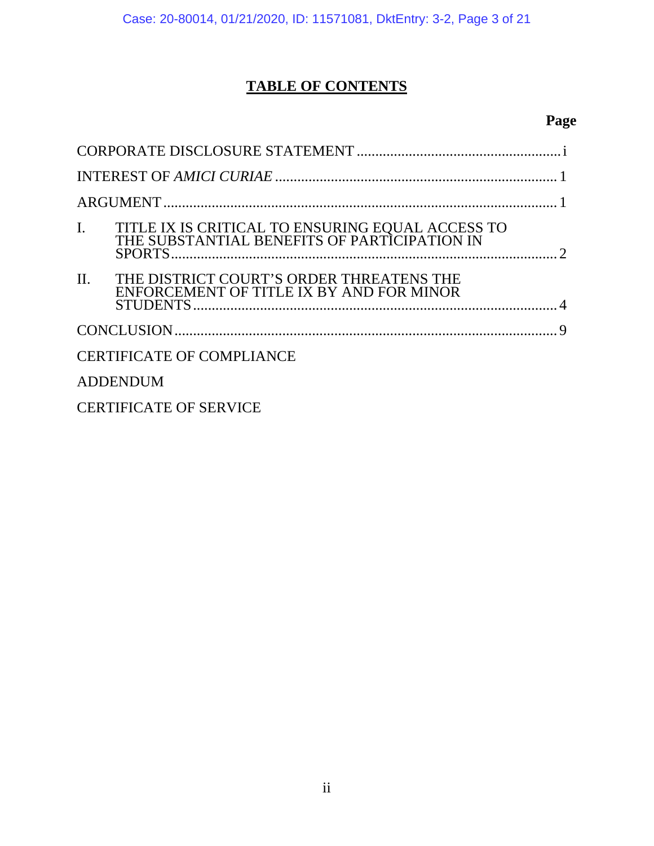# **TABLE OF CONTENTS**

# **Page**

| $\mathbf{I}$ .                   | TITLE IX IS CRITICAL TO ENSURING EQUAL ACCESS TO THE SUBSTANTIAL BENEFITS OF PARTICIPATION IN |  |  |
|----------------------------------|-----------------------------------------------------------------------------------------------|--|--|
| II.                              | THE DISTRICT COURT'S ORDER THREATENS THE<br>ENFORCEMENT OF TITLE IX BY AND FOR MINOR          |  |  |
|                                  |                                                                                               |  |  |
| <b>CERTIFICATE OF COMPLIANCE</b> |                                                                                               |  |  |
| <b>ADDENDUM</b>                  |                                                                                               |  |  |
| <b>CERTIFICATE OF SERVICE</b>    |                                                                                               |  |  |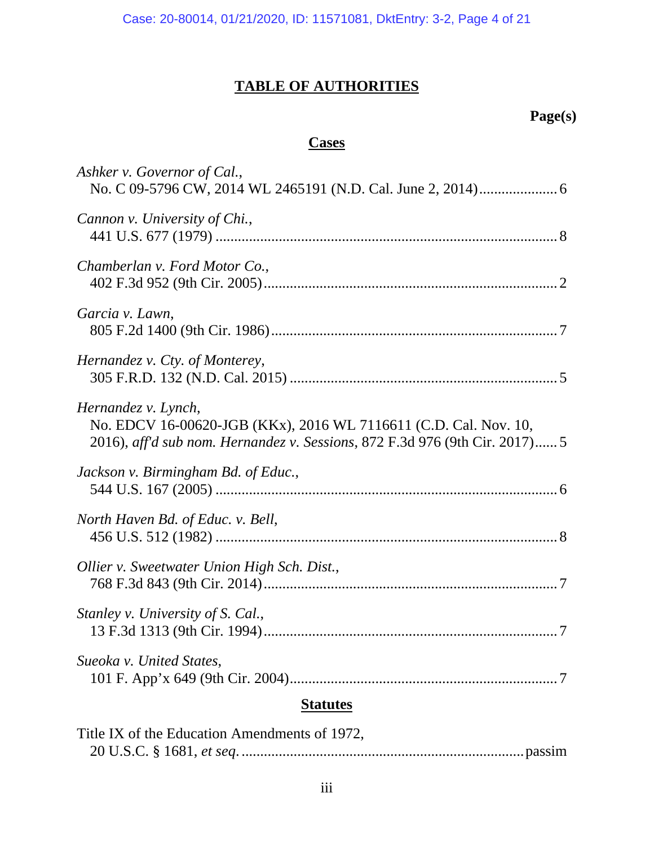# **TABLE OF AUTHORITIES**

# **Page(s)**

# **Cases**

| <b>Statutes</b>                                                                                                                                                        |  |  |
|------------------------------------------------------------------------------------------------------------------------------------------------------------------------|--|--|
| Sueoka v. United States,                                                                                                                                               |  |  |
| Stanley v. University of S. Cal.,                                                                                                                                      |  |  |
| Ollier v. Sweetwater Union High Sch. Dist.,                                                                                                                            |  |  |
| North Haven Bd. of Educ. v. Bell,                                                                                                                                      |  |  |
| Jackson v. Birmingham Bd. of Educ.,                                                                                                                                    |  |  |
| Hernandez v. Lynch,<br>No. EDCV 16-00620-JGB (KKx), 2016 WL 7116611 (C.D. Cal. Nov. 10,<br>2016), aff'd sub nom. Hernandez v. Sessions, 872 F.3d 976 (9th Cir. 2017) 5 |  |  |
| Hernandez v. Cty. of Monterey,                                                                                                                                         |  |  |
| Garcia v. Lawn,                                                                                                                                                        |  |  |
| Chamberlan v. Ford Motor Co.,                                                                                                                                          |  |  |
| Cannon v. University of Chi.,                                                                                                                                          |  |  |
| Ashker v. Governor of Cal.,                                                                                                                                            |  |  |

| Title IX of the Education Amendments of 1972, |  |
|-----------------------------------------------|--|
|                                               |  |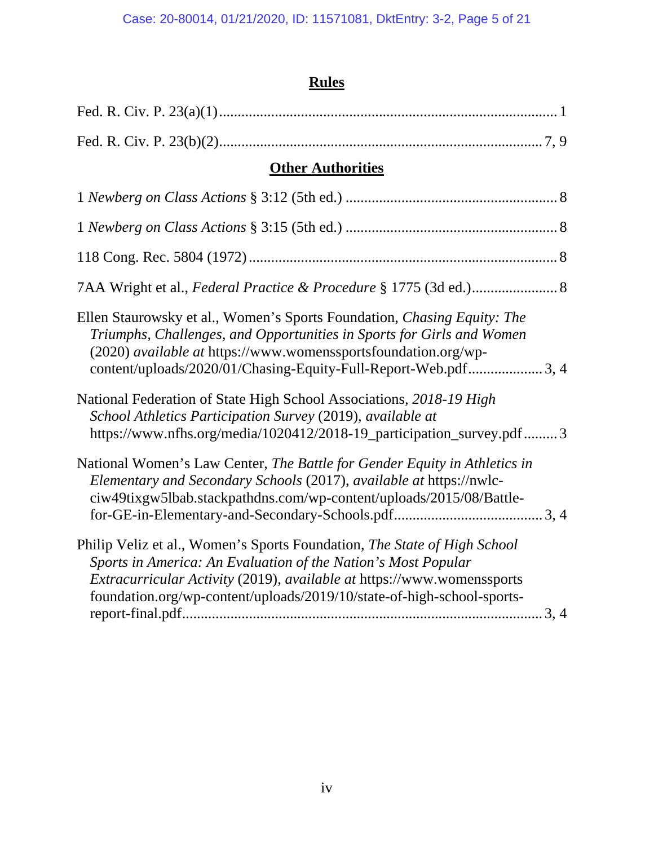# **Rules**

| <b>Other Authorities</b>                                                                                                                                                                                                                                                                      |  |  |
|-----------------------------------------------------------------------------------------------------------------------------------------------------------------------------------------------------------------------------------------------------------------------------------------------|--|--|
|                                                                                                                                                                                                                                                                                               |  |  |
|                                                                                                                                                                                                                                                                                               |  |  |
|                                                                                                                                                                                                                                                                                               |  |  |
|                                                                                                                                                                                                                                                                                               |  |  |
| Ellen Staurowsky et al., Women's Sports Foundation, Chasing Equity: The<br>Triumphs, Challenges, and Opportunities in Sports for Girls and Women<br>(2020) available at https://www.womenssportsfoundation.org/wp-<br>content/uploads/2020/01/Chasing-Equity-Full-Report-Web.pdf3, 4          |  |  |
| National Federation of State High School Associations, 2018-19 High<br>School Athletics Participation Survey (2019), available at<br>https://www.nfhs.org/media/1020412/2018-19_participation_survey.pdf  3                                                                                   |  |  |
| National Women's Law Center, The Battle for Gender Equity in Athletics in<br>Elementary and Secondary Schools (2017), available at https://nwlc-<br>ciw49tixgw5lbab.stackpathdns.com/wp-content/uploads/2015/08/Battle-                                                                       |  |  |
| Philip Veliz et al., Women's Sports Foundation, The State of High School<br>Sports in America: An Evaluation of the Nation's Most Popular<br>Extracurricular Activity (2019), available at https://www.womenssports<br>foundation.org/wp-content/uploads/2019/10/state-of-high-school-sports- |  |  |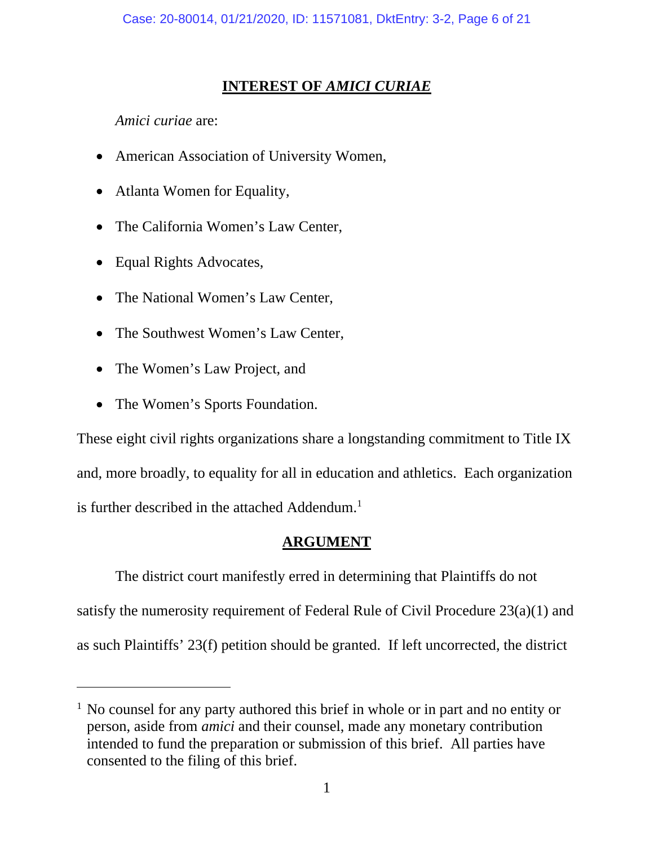# **INTEREST OF** *AMICI CURIAE*

*Amici curiae* are:

- American Association of University Women,
- Atlanta Women for Equality,
- The California Women's Law Center,
- Equal Rights Advocates,
- The National Women's Law Center,
- The Southwest Women's Law Center,
- The Women's Law Project, and
- The Women's Sports Foundation.

These eight civil rights organizations share a longstanding commitment to Title IX and, more broadly, to equality for all in education and athletics. Each organization is further described in the attached Addendum.<sup>1</sup>

## **ARGUMENT**

The district court manifestly erred in determining that Plaintiffs do not satisfy the numerosity requirement of Federal Rule of Civil Procedure 23(a)(1) and as such Plaintiffs' 23(f) petition should be granted. If left uncorrected, the district

<sup>&</sup>lt;sup>1</sup> No counsel for any party authored this brief in whole or in part and no entity or person, aside from *amici* and their counsel, made any monetary contribution intended to fund the preparation or submission of this brief. All parties have consented to the filing of this brief.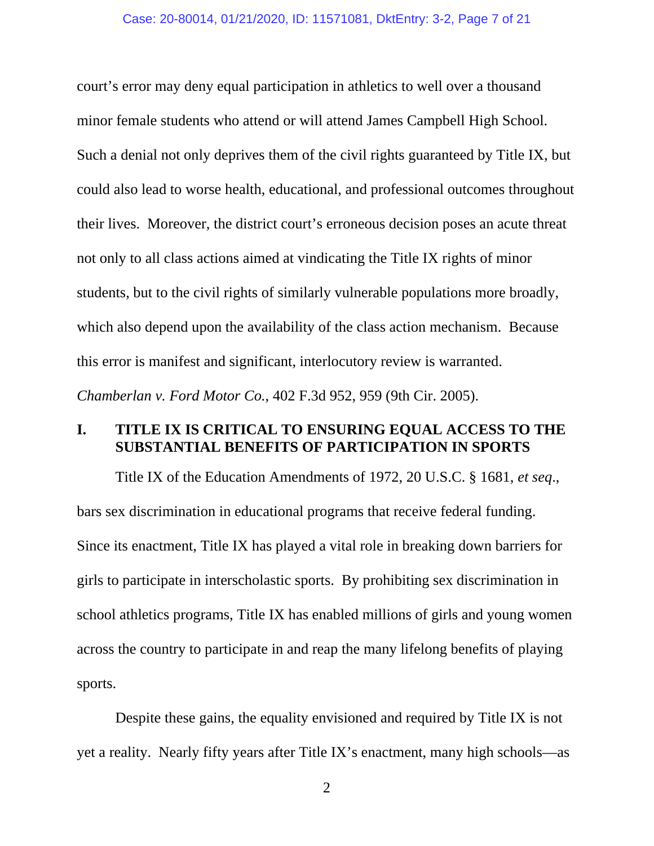court's error may deny equal participation in athletics to well over a thousand minor female students who attend or will attend James Campbell High School. Such a denial not only deprives them of the civil rights guaranteed by Title IX, but could also lead to worse health, educational, and professional outcomes throughout their lives. Moreover, the district court's erroneous decision poses an acute threat not only to all class actions aimed at vindicating the Title IX rights of minor students, but to the civil rights of similarly vulnerable populations more broadly, which also depend upon the availability of the class action mechanism. Because this error is manifest and significant, interlocutory review is warranted. *Chamberlan v. Ford Motor Co.*, 402 F.3d 952, 959 (9th Cir. 2005).

## **I. TITLE IX IS CRITICAL TO ENSURING EQUAL ACCESS TO THE SUBSTANTIAL BENEFITS OF PARTICIPATION IN SPORTS**

Title IX of the Education Amendments of 1972, 20 U.S.C. § 1681, *et seq*., bars sex discrimination in educational programs that receive federal funding. Since its enactment, Title IX has played a vital role in breaking down barriers for girls to participate in interscholastic sports. By prohibiting sex discrimination in school athletics programs, Title IX has enabled millions of girls and young women across the country to participate in and reap the many lifelong benefits of playing sports.

Despite these gains, the equality envisioned and required by Title IX is not yet a reality. Nearly fifty years after Title IX's enactment, many high schools—as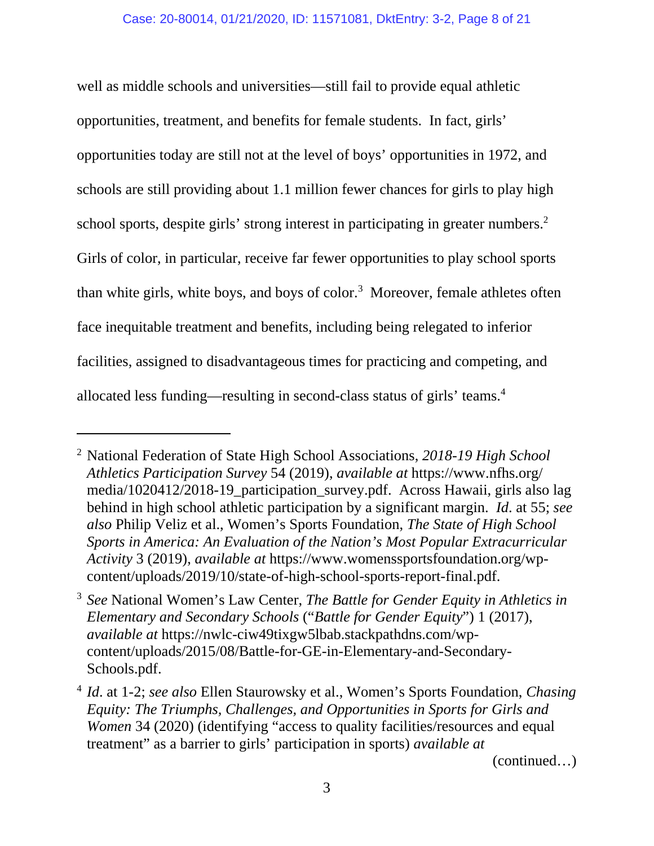well as middle schools and universities—still fail to provide equal athletic opportunities, treatment, and benefits for female students. In fact, girls' opportunities today are still not at the level of boys' opportunities in 1972, and schools are still providing about 1.1 million fewer chances for girls to play high school sports, despite girls' strong interest in participating in greater numbers.<sup>2</sup> Girls of color, in particular, receive far fewer opportunities to play school sports than white girls, white boys, and boys of color.<sup>3</sup> Moreover, female athletes often face inequitable treatment and benefits, including being relegated to inferior facilities, assigned to disadvantageous times for practicing and competing, and allocated less funding—resulting in second-class status of girls' teams.4

(continued…)

<sup>2</sup> National Federation of State High School Associations, *2018-19 High School Athletics Participation Survey* 54 (2019), *available at* https://www.nfhs.org/ media/1020412/2018-19\_participation\_survey.pdf. Across Hawaii, girls also lag behind in high school athletic participation by a significant margin. *Id*. at 55; *see also* Philip Veliz et al., Women's Sports Foundation, *The State of High School Sports in America: An Evaluation of the Nation's Most Popular Extracurricular Activity* 3 (2019), *available at* https://www.womenssportsfoundation.org/wpcontent/uploads/2019/10/state-of-high-school-sports-report-final.pdf.

<sup>3</sup> *See* National Women's Law Center, *The Battle for Gender Equity in Athletics in Elementary and Secondary Schools* ("*Battle for Gender Equity*") 1 (2017), *available at* https://nwlc-ciw49tixgw5lbab.stackpathdns.com/wpcontent/uploads/2015/08/Battle-for-GE-in-Elementary-and-Secondary-Schools.pdf.

<sup>4</sup> *Id*. at 1-2; *see also* Ellen Staurowsky et al., Women's Sports Foundation, *Chasing Equity: The Triumphs, Challenges, and Opportunities in Sports for Girls and Women* 34 (2020) (identifying "access to quality facilities/resources and equal treatment" as a barrier to girls' participation in sports) *available at*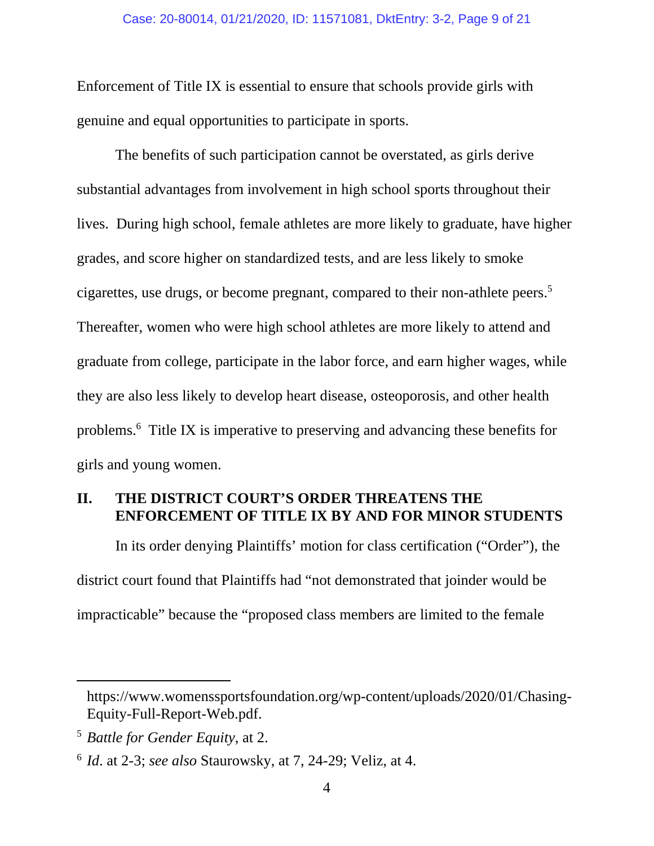Enforcement of Title IX is essential to ensure that schools provide girls with genuine and equal opportunities to participate in sports.

The benefits of such participation cannot be overstated, as girls derive substantial advantages from involvement in high school sports throughout their lives. During high school, female athletes are more likely to graduate, have higher grades, and score higher on standardized tests, and are less likely to smoke cigarettes, use drugs, or become pregnant, compared to their non-athlete peers.<sup>5</sup> Thereafter, women who were high school athletes are more likely to attend and graduate from college, participate in the labor force, and earn higher wages, while they are also less likely to develop heart disease, osteoporosis, and other health problems.6 Title IX is imperative to preserving and advancing these benefits for girls and young women.

## **II. THE DISTRICT COURT'S ORDER THREATENS THE ENFORCEMENT OF TITLE IX BY AND FOR MINOR STUDENTS**

In its order denying Plaintiffs' motion for class certification ("Order"), the district court found that Plaintiffs had "not demonstrated that joinder would be impracticable" because the "proposed class members are limited to the female

https://www.womenssportsfoundation.org/wp-content/uploads/2020/01/Chasing-Equity-Full-Report-Web.pdf.

<sup>5</sup> *Battle for Gender Equity*, at 2.

<sup>6</sup> *Id*. at 2-3; *see also* Staurowsky, at 7, 24-29; Veliz, at 4.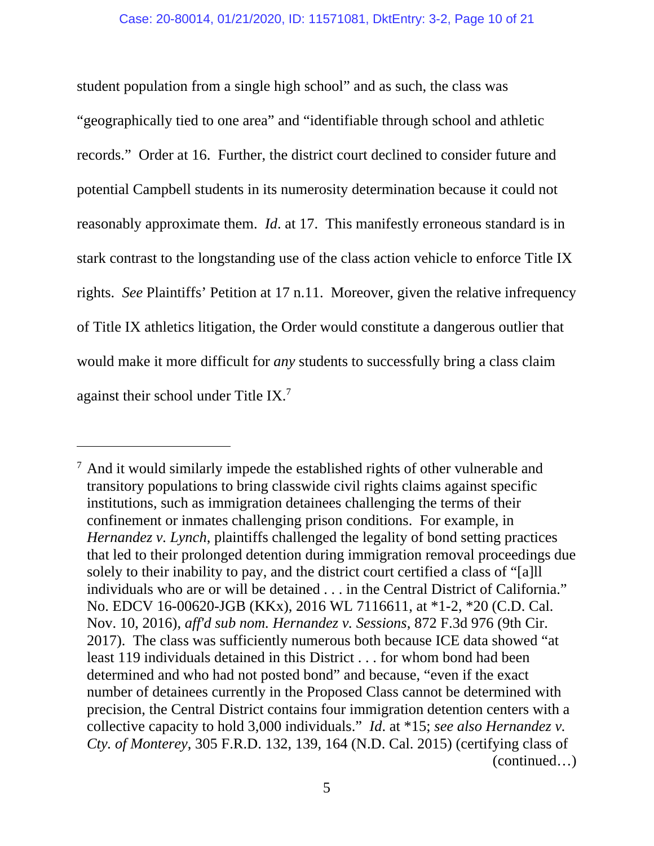student population from a single high school" and as such, the class was "geographically tied to one area" and "identifiable through school and athletic records." Order at 16. Further, the district court declined to consider future and potential Campbell students in its numerosity determination because it could not reasonably approximate them. *Id*. at 17. This manifestly erroneous standard is in stark contrast to the longstanding use of the class action vehicle to enforce Title IX rights. *See* Plaintiffs' Petition at 17 n.11. Moreover, given the relative infrequency of Title IX athletics litigation, the Order would constitute a dangerous outlier that would make it more difficult for *any* students to successfully bring a class claim against their school under Title IX.7

<sup>&</sup>lt;sup>7</sup> And it would similarly impede the established rights of other vulnerable and transitory populations to bring classwide civil rights claims against specific institutions, such as immigration detainees challenging the terms of their confinement or inmates challenging prison conditions. For example, in *Hernandez v. Lynch*, plaintiffs challenged the legality of bond setting practices that led to their prolonged detention during immigration removal proceedings due solely to their inability to pay, and the district court certified a class of "[a]ll individuals who are or will be detained . . . in the Central District of California." No. EDCV 16-00620-JGB (KKx), 2016 WL 7116611, at \*1-2, \*20 (C.D. Cal. Nov. 10, 2016), *aff'd sub nom. Hernandez v. Sessions*, 872 F.3d 976 (9th Cir. 2017). The class was sufficiently numerous both because ICE data showed "at least 119 individuals detained in this District . . . for whom bond had been determined and who had not posted bond" and because, "even if the exact number of detainees currently in the Proposed Class cannot be determined with precision, the Central District contains four immigration detention centers with a collective capacity to hold 3,000 individuals." *Id*. at \*15; *see also Hernandez v. Cty. of Monterey*, 305 F.R.D. 132, 139, 164 (N.D. Cal. 2015) (certifying class of (continued…)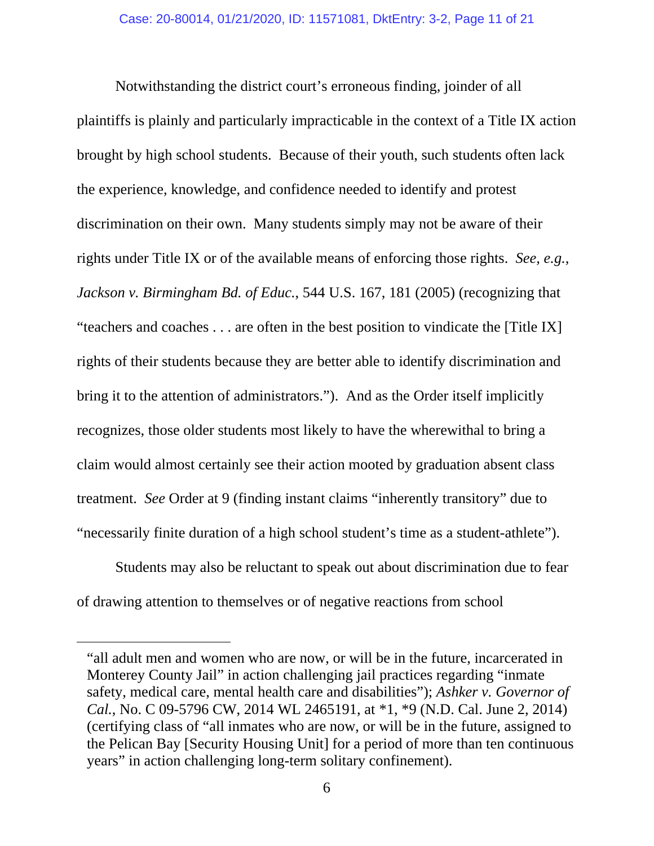Notwithstanding the district court's erroneous finding, joinder of all plaintiffs is plainly and particularly impracticable in the context of a Title IX action brought by high school students. Because of their youth, such students often lack the experience, knowledge, and confidence needed to identify and protest discrimination on their own. Many students simply may not be aware of their rights under Title IX or of the available means of enforcing those rights. *See, e.g.*, *Jackson v. Birmingham Bd. of Educ.*, 544 U.S. 167, 181 (2005) (recognizing that "teachers and coaches . . . are often in the best position to vindicate the [Title IX] rights of their students because they are better able to identify discrimination and bring it to the attention of administrators."). And as the Order itself implicitly recognizes, those older students most likely to have the wherewithal to bring a claim would almost certainly see their action mooted by graduation absent class treatment. *See* Order at 9 (finding instant claims "inherently transitory" due to "necessarily finite duration of a high school student's time as a student-athlete").

Students may also be reluctant to speak out about discrimination due to fear of drawing attention to themselves or of negative reactions from school

<sup>&</sup>quot;all adult men and women who are now, or will be in the future, incarcerated in Monterey County Jail" in action challenging jail practices regarding "inmate safety, medical care, mental health care and disabilities"); *Ashker v. Governor of Cal.*, No. C 09-5796 CW, 2014 WL 2465191, at \*1, \*9 (N.D. Cal. June 2, 2014) (certifying class of "all inmates who are now, or will be in the future, assigned to the Pelican Bay [Security Housing Unit] for a period of more than ten continuous years" in action challenging long-term solitary confinement).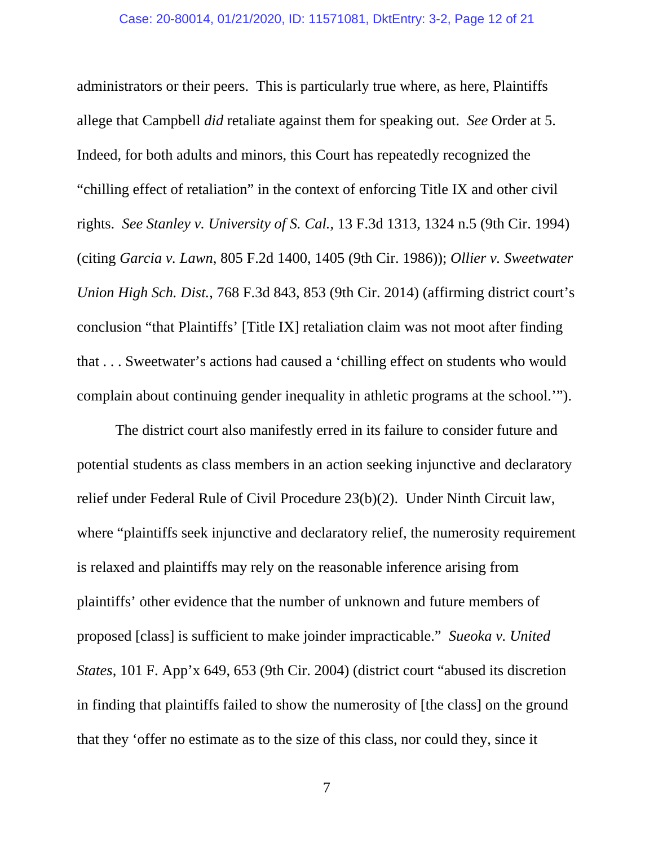administrators or their peers. This is particularly true where, as here, Plaintiffs allege that Campbell *did* retaliate against them for speaking out. *See* Order at 5. Indeed, for both adults and minors, this Court has repeatedly recognized the "chilling effect of retaliation" in the context of enforcing Title IX and other civil rights. *See Stanley v. University of S. Cal.*, 13 F.3d 1313, 1324 n.5 (9th Cir. 1994) (citing *Garcia v. Lawn*, 805 F.2d 1400, 1405 (9th Cir. 1986)); *Ollier v. Sweetwater Union High Sch. Dist.*, 768 F.3d 843, 853 (9th Cir. 2014) (affirming district court's conclusion "that Plaintiffs' [Title IX] retaliation claim was not moot after finding that . . . Sweetwater's actions had caused a 'chilling effect on students who would complain about continuing gender inequality in athletic programs at the school.'").

The district court also manifestly erred in its failure to consider future and potential students as class members in an action seeking injunctive and declaratory relief under Federal Rule of Civil Procedure 23(b)(2). Under Ninth Circuit law, where "plaintiffs seek injunctive and declaratory relief, the numerosity requirement is relaxed and plaintiffs may rely on the reasonable inference arising from plaintiffs' other evidence that the number of unknown and future members of proposed [class] is sufficient to make joinder impracticable." *Sueoka v. United States*, 101 F. App'x 649, 653 (9th Cir. 2004) (district court "abused its discretion in finding that plaintiffs failed to show the numerosity of [the class] on the ground that they 'offer no estimate as to the size of this class, nor could they, since it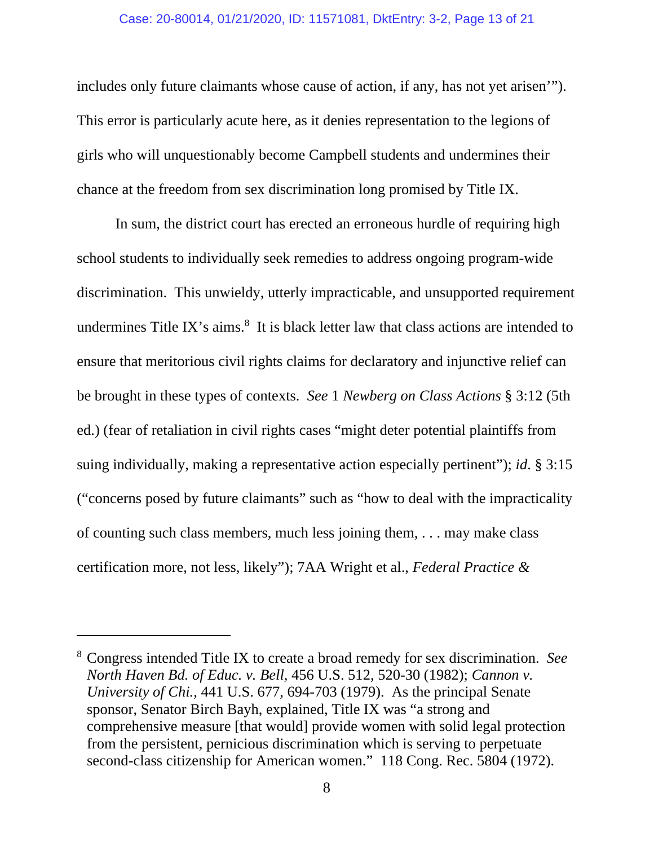#### Case: 20-80014, 01/21/2020, ID: 11571081, DktEntry: 3-2, Page 13 of 21

includes only future claimants whose cause of action, if any, has not yet arisen'"). This error is particularly acute here, as it denies representation to the legions of girls who will unquestionably become Campbell students and undermines their chance at the freedom from sex discrimination long promised by Title IX.

In sum, the district court has erected an erroneous hurdle of requiring high school students to individually seek remedies to address ongoing program-wide discrimination. This unwieldy, utterly impracticable, and unsupported requirement undermines Title IX's aims. $8$  It is black letter law that class actions are intended to ensure that meritorious civil rights claims for declaratory and injunctive relief can be brought in these types of contexts. *See* 1 *Newberg on Class Actions* § 3:12 (5th ed.) (fear of retaliation in civil rights cases "might deter potential plaintiffs from suing individually, making a representative action especially pertinent"); *id*. § 3:15 ("concerns posed by future claimants" such as "how to deal with the impracticality of counting such class members, much less joining them, . . . may make class certification more, not less, likely"); 7AA Wright et al., *Federal Practice &* 

<sup>8</sup> Congress intended Title IX to create a broad remedy for sex discrimination. *See North Haven Bd. of Educ. v. Bell*, 456 U.S. 512, 520-30 (1982); *Cannon v. University of Chi.*, 441 U.S. 677, 694-703 (1979). As the principal Senate sponsor, Senator Birch Bayh, explained, Title IX was "a strong and comprehensive measure [that would] provide women with solid legal protection from the persistent, pernicious discrimination which is serving to perpetuate second-class citizenship for American women." 118 Cong. Rec. 5804 (1972).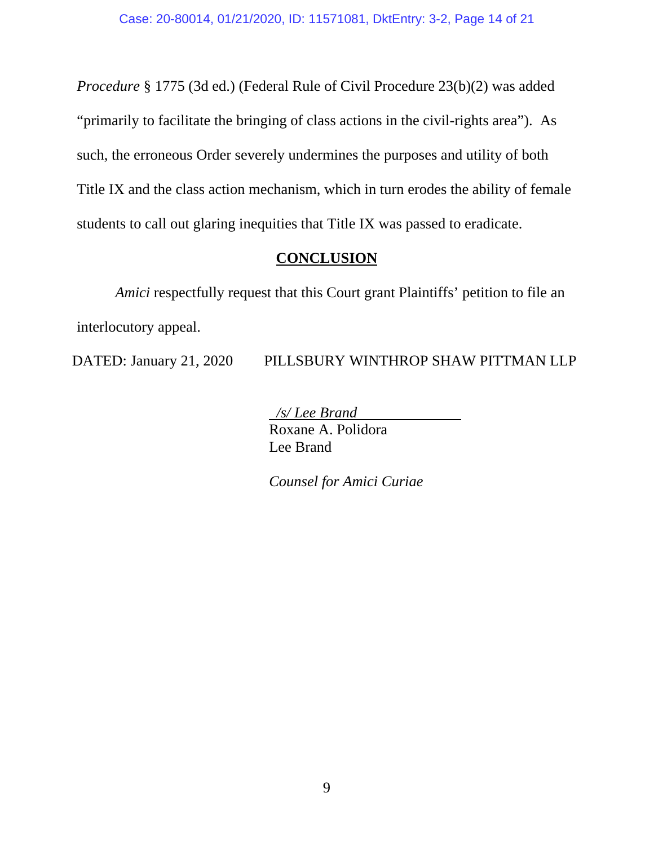*Procedure* § 1775 (3d ed.) (Federal Rule of Civil Procedure 23(b)(2) was added "primarily to facilitate the bringing of class actions in the civil-rights area"). As such, the erroneous Order severely undermines the purposes and utility of both Title IX and the class action mechanism, which in turn erodes the ability of female students to call out glaring inequities that Title IX was passed to eradicate.

### **CONCLUSION**

*Amici* respectfully request that this Court grant Plaintiffs' petition to file an interlocutory appeal.

DATED: January 21, 2020 PILLSBURY WINTHROP SHAW PITTMAN LLP

 */s/ Lee Brand* Roxane A. Polidora Lee Brand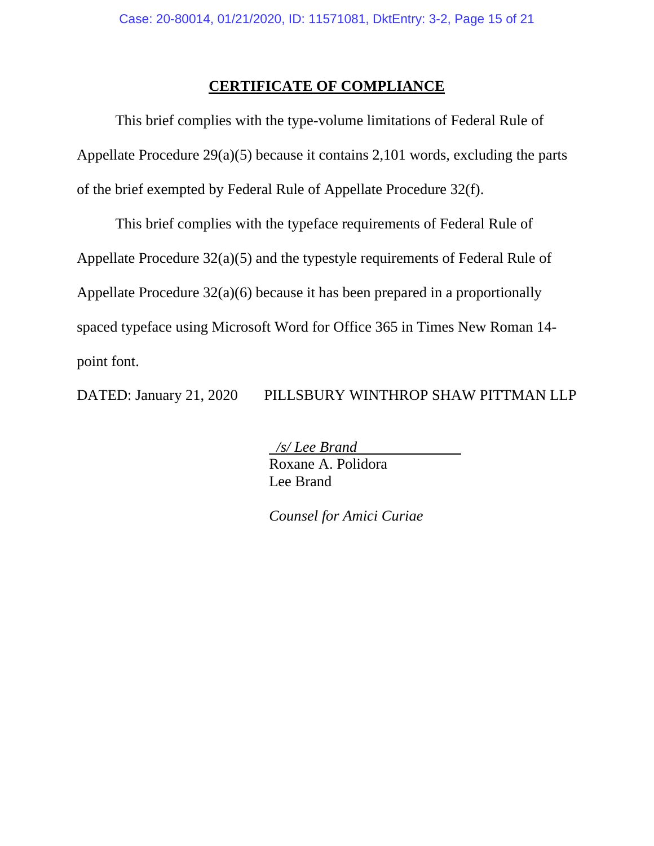### **CERTIFICATE OF COMPLIANCE**

This brief complies with the type-volume limitations of Federal Rule of Appellate Procedure 29(a)(5) because it contains 2,101 words, excluding the parts of the brief exempted by Federal Rule of Appellate Procedure 32(f).

This brief complies with the typeface requirements of Federal Rule of Appellate Procedure 32(a)(5) and the typestyle requirements of Federal Rule of Appellate Procedure 32(a)(6) because it has been prepared in a proportionally spaced typeface using Microsoft Word for Office 365 in Times New Roman 14 point font.

DATED: January 21, 2020 PILLSBURY WINTHROP SHAW PITTMAN LLP

 */s/ Lee Brand* Roxane A. Polidora Lee Brand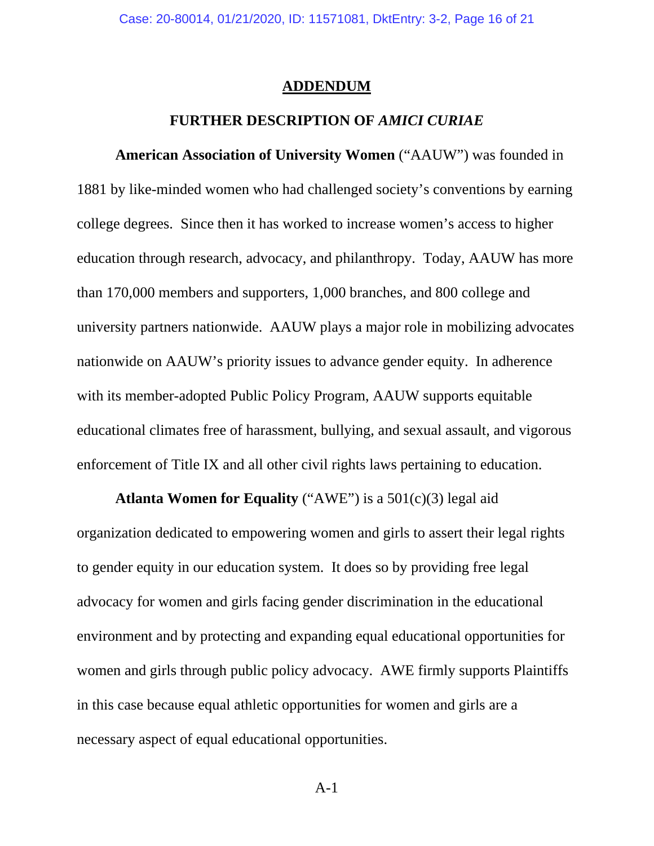#### **ADDENDUM**

### **FURTHER DESCRIPTION OF** *AMICI CURIAE*

**American Association of University Women** ("AAUW") was founded in 1881 by like-minded women who had challenged society's conventions by earning college degrees. Since then it has worked to increase women's access to higher education through research, advocacy, and philanthropy. Today, AAUW has more than 170,000 members and supporters, 1,000 branches, and 800 college and university partners nationwide. AAUW plays a major role in mobilizing advocates nationwide on AAUW's priority issues to advance gender equity. In adherence with its member-adopted Public Policy Program, AAUW supports equitable educational climates free of harassment, bullying, and sexual assault, and vigorous enforcement of Title IX and all other civil rights laws pertaining to education.

**Atlanta Women for Equality** ("AWE") is a 501(c)(3) legal aid organization dedicated to empowering women and girls to assert their legal rights to gender equity in our education system. It does so by providing free legal advocacy for women and girls facing gender discrimination in the educational environment and by protecting and expanding equal educational opportunities for women and girls through public policy advocacy. AWE firmly supports Plaintiffs in this case because equal athletic opportunities for women and girls are a necessary aspect of equal educational opportunities.

A-1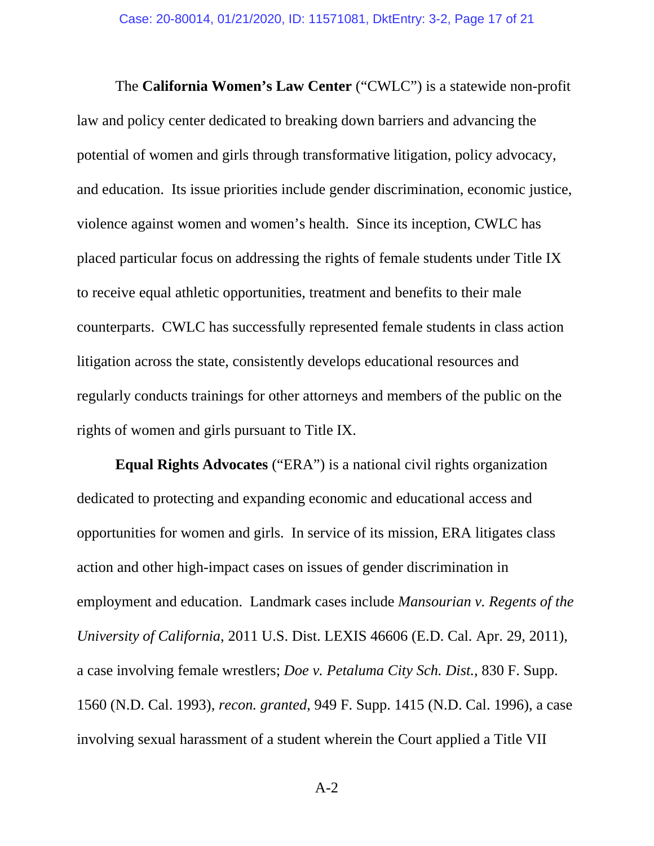The **California Women's Law Center** ("CWLC") is a statewide non-profit law and policy center dedicated to breaking down barriers and advancing the potential of women and girls through transformative litigation, policy advocacy, and education. Its issue priorities include gender discrimination, economic justice, violence against women and women's health. Since its inception, CWLC has placed particular focus on addressing the rights of female students under Title IX to receive equal athletic opportunities, treatment and benefits to their male counterparts. CWLC has successfully represented female students in class action litigation across the state, consistently develops educational resources and regularly conducts trainings for other attorneys and members of the public on the rights of women and girls pursuant to Title IX.

**Equal Rights Advocates** ("ERA") is a national civil rights organization dedicated to protecting and expanding economic and educational access and opportunities for women and girls. In service of its mission, ERA litigates class action and other high-impact cases on issues of gender discrimination in employment and education. Landmark cases include *Mansourian v. Regents of the University of California*, 2011 U.S. Dist. LEXIS 46606 (E.D. Cal. Apr. 29, 2011), a case involving female wrestlers; *Doe v. Petaluma City Sch. Dist.*, 830 F. Supp. 1560 (N.D. Cal. 1993), *recon. granted*, 949 F. Supp. 1415 (N.D. Cal. 1996), a case involving sexual harassment of a student wherein the Court applied a Title VII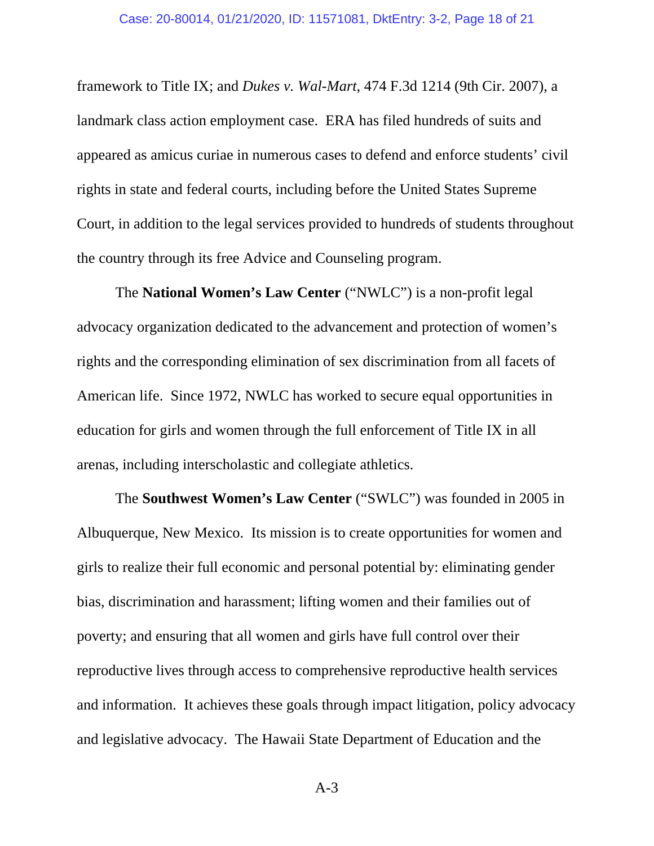framework to Title IX; and *Dukes v. Wal-Mart*, 474 F.3d 1214 (9th Cir. 2007), a landmark class action employment case. ERA has filed hundreds of suits and appeared as amicus curiae in numerous cases to defend and enforce students' civil rights in state and federal courts, including before the United States Supreme Court, in addition to the legal services provided to hundreds of students throughout the country through its free Advice and Counseling program.

The **National Women's Law Center** ("NWLC") is a non-profit legal advocacy organization dedicated to the advancement and protection of women's rights and the corresponding elimination of sex discrimination from all facets of American life. Since 1972, NWLC has worked to secure equal opportunities in education for girls and women through the full enforcement of Title IX in all arenas, including interscholastic and collegiate athletics.

The **Southwest Women's Law Center** ("SWLC") was founded in 2005 in Albuquerque, New Mexico. Its mission is to create opportunities for women and girls to realize their full economic and personal potential by: eliminating gender bias, discrimination and harassment; lifting women and their families out of poverty; and ensuring that all women and girls have full control over their reproductive lives through access to comprehensive reproductive health services and information. It achieves these goals through impact litigation, policy advocacy and legislative advocacy. The Hawaii State Department of Education and the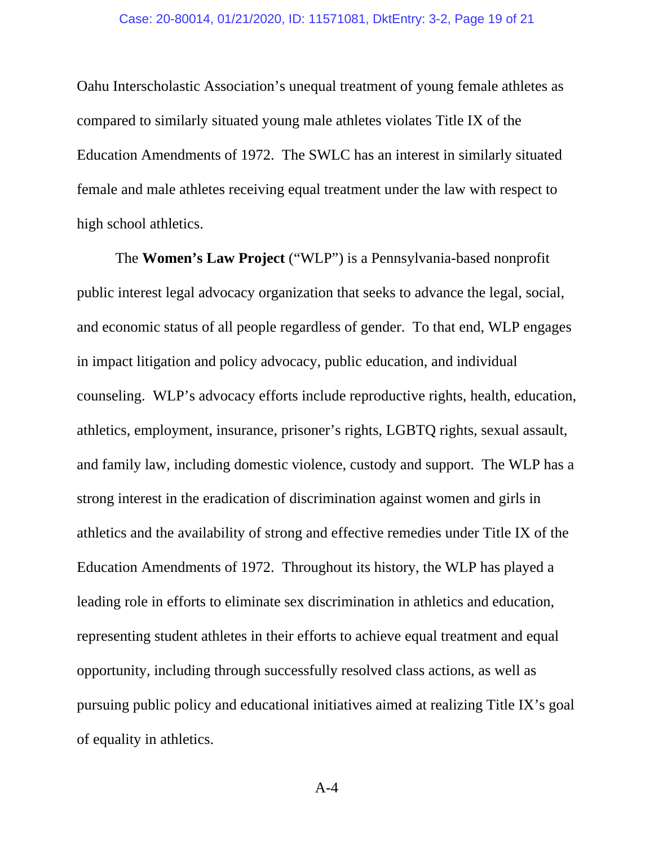Oahu Interscholastic Association's unequal treatment of young female athletes as compared to similarly situated young male athletes violates Title IX of the Education Amendments of 1972. The SWLC has an interest in similarly situated female and male athletes receiving equal treatment under the law with respect to high school athletics.

The **Women's Law Project** ("WLP") is a Pennsylvania-based nonprofit public interest legal advocacy organization that seeks to advance the legal, social, and economic status of all people regardless of gender. To that end, WLP engages in impact litigation and policy advocacy, public education, and individual counseling. WLP's advocacy efforts include reproductive rights, health, education, athletics, employment, insurance, prisoner's rights, LGBTQ rights, sexual assault, and family law, including domestic violence, custody and support. The WLP has a strong interest in the eradication of discrimination against women and girls in athletics and the availability of strong and effective remedies under Title IX of the Education Amendments of 1972. Throughout its history, the WLP has played a leading role in efforts to eliminate sex discrimination in athletics and education, representing student athletes in their efforts to achieve equal treatment and equal opportunity, including through successfully resolved class actions, as well as pursuing public policy and educational initiatives aimed at realizing Title IX's goal of equality in athletics.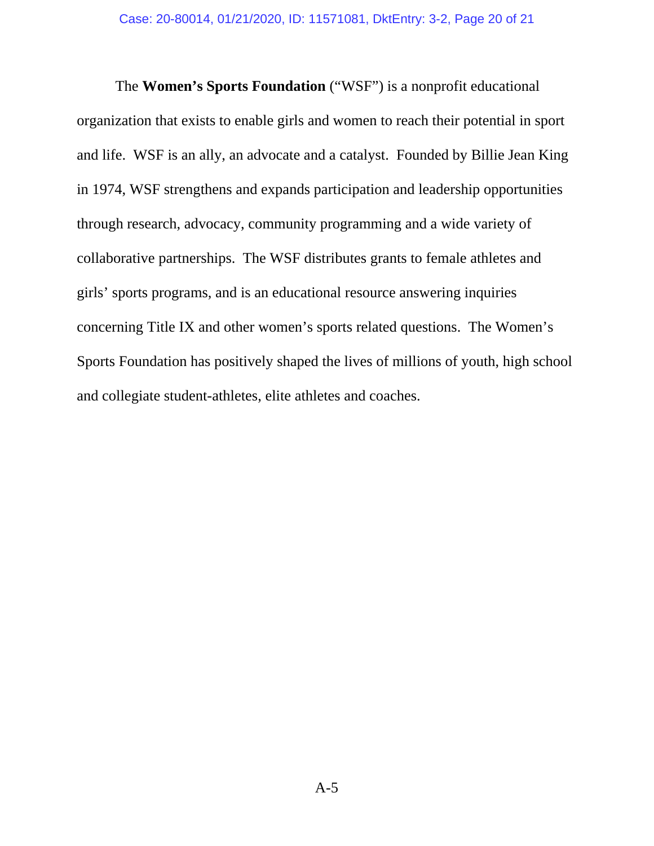The **Women's Sports Foundation** ("WSF") is a nonprofit educational organization that exists to enable girls and women to reach their potential in sport and life. WSF is an ally, an advocate and a catalyst. Founded by Billie Jean King in 1974, WSF strengthens and expands participation and leadership opportunities through research, advocacy, community programming and a wide variety of collaborative partnerships. The WSF distributes grants to female athletes and girls' sports programs, and is an educational resource answering inquiries concerning Title IX and other women's sports related questions. The Women's Sports Foundation has positively shaped the lives of millions of youth, high school and collegiate student-athletes, elite athletes and coaches.